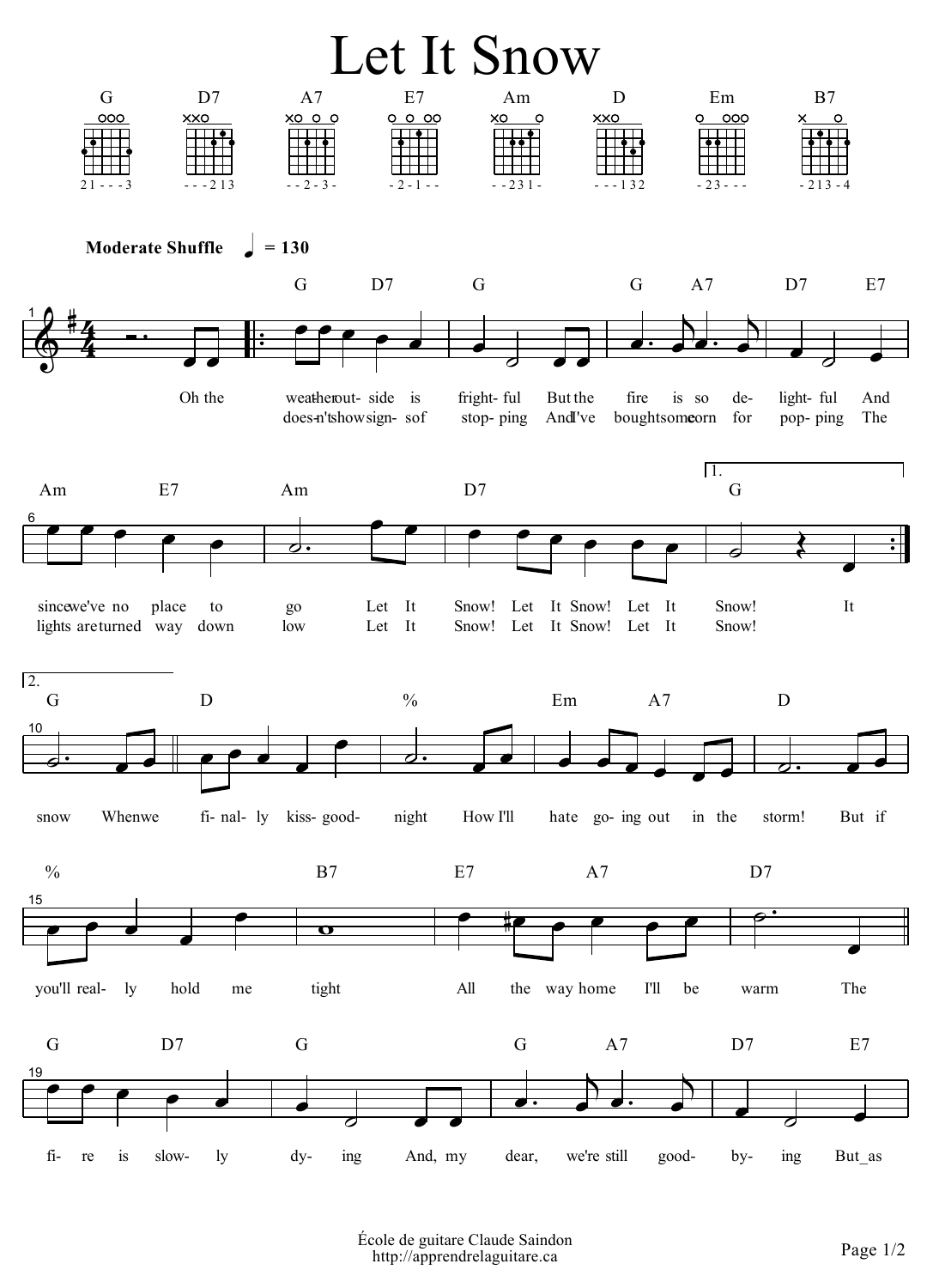